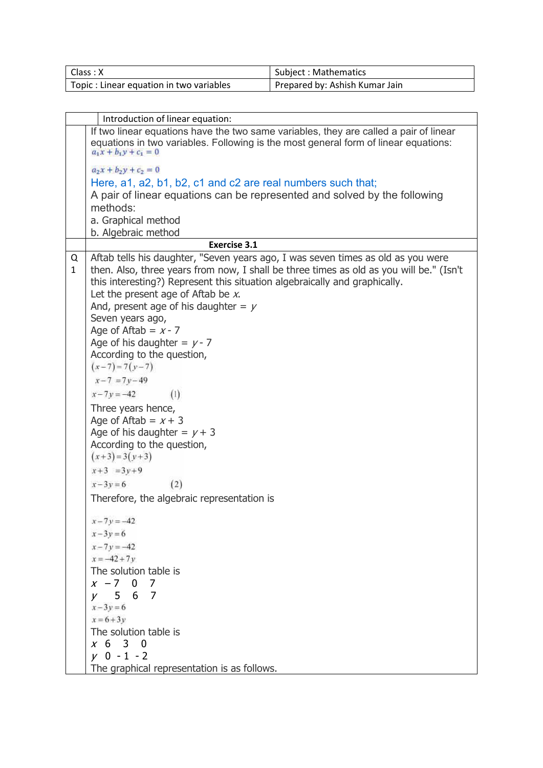| Class: X                                 | Subject: Mathematics           |
|------------------------------------------|--------------------------------|
| Topic : Linear equation in two variables | Prepared by: Ashish Kumar Jain |

|                   | Introduction of linear equation:                                                                                                                                                                                                                                                                                                                                                                                                                                                                                                                                                                                                                                                                                                                                                                                                                                                       |
|-------------------|----------------------------------------------------------------------------------------------------------------------------------------------------------------------------------------------------------------------------------------------------------------------------------------------------------------------------------------------------------------------------------------------------------------------------------------------------------------------------------------------------------------------------------------------------------------------------------------------------------------------------------------------------------------------------------------------------------------------------------------------------------------------------------------------------------------------------------------------------------------------------------------|
|                   | If two linear equations have the two same variables, they are called a pair of linear<br>equations in two variables. Following is the most general form of linear equations:<br>$a_1x + b_1y + c_1 = 0$                                                                                                                                                                                                                                                                                                                                                                                                                                                                                                                                                                                                                                                                                |
|                   | $a_2x + b_2y + c_2 = 0$                                                                                                                                                                                                                                                                                                                                                                                                                                                                                                                                                                                                                                                                                                                                                                                                                                                                |
|                   | Here, a1, a2, b1, b2, c1 and c2 are real numbers such that;                                                                                                                                                                                                                                                                                                                                                                                                                                                                                                                                                                                                                                                                                                                                                                                                                            |
|                   | A pair of linear equations can be represented and solved by the following                                                                                                                                                                                                                                                                                                                                                                                                                                                                                                                                                                                                                                                                                                                                                                                                              |
|                   | methods:                                                                                                                                                                                                                                                                                                                                                                                                                                                                                                                                                                                                                                                                                                                                                                                                                                                                               |
|                   | a. Graphical method                                                                                                                                                                                                                                                                                                                                                                                                                                                                                                                                                                                                                                                                                                                                                                                                                                                                    |
|                   | b. Algebraic method                                                                                                                                                                                                                                                                                                                                                                                                                                                                                                                                                                                                                                                                                                                                                                                                                                                                    |
|                   | <b>Exercise 3.1</b>                                                                                                                                                                                                                                                                                                                                                                                                                                                                                                                                                                                                                                                                                                                                                                                                                                                                    |
| Q<br>$\mathbf{1}$ | Aftab tells his daughter, "Seven years ago, I was seven times as old as you were<br>then. Also, three years from now, I shall be three times as old as you will be." (Isn't<br>this interesting?) Represent this situation algebraically and graphically.<br>Let the present age of Aftab be $x$ .<br>And, present age of his daughter = $y$<br>Seven years ago,<br>Age of Aftab = $x - 7$<br>Age of his daughter = $y - 7$<br>According to the question,<br>$(x-7)=7(y-7)$<br>$x - 7 = 7y - 49$<br>$x - 7y = -42$<br>(1)<br>Three years hence,<br>Age of Aftab = $x + 3$<br>Age of his daughter = $y + 3$<br>According to the question,<br>$(x+3)=3(y+3)$<br>$x+3 = 3y+9$<br>$x-3y=6$<br>(2)<br>Therefore, the algebraic representation is<br>$x - 7y = -42$<br>$x - 3y = 6$<br>$x - 7y = -42$<br>$x = -42 + 7y$<br>The solution table is<br>$x - 7$ 0 7<br>$y = 567$<br>$x - 3y = 6$ |
|                   | $x = 6 + 3y$                                                                                                                                                                                                                                                                                                                                                                                                                                                                                                                                                                                                                                                                                                                                                                                                                                                                           |
|                   | The solution table is                                                                                                                                                                                                                                                                                                                                                                                                                                                                                                                                                                                                                                                                                                                                                                                                                                                                  |
|                   | x 6 3 0                                                                                                                                                                                                                                                                                                                                                                                                                                                                                                                                                                                                                                                                                                                                                                                                                                                                                |
|                   | $y = 0 - 1 - 2$                                                                                                                                                                                                                                                                                                                                                                                                                                                                                                                                                                                                                                                                                                                                                                                                                                                                        |
|                   | The graphical representation is as follows.                                                                                                                                                                                                                                                                                                                                                                                                                                                                                                                                                                                                                                                                                                                                                                                                                                            |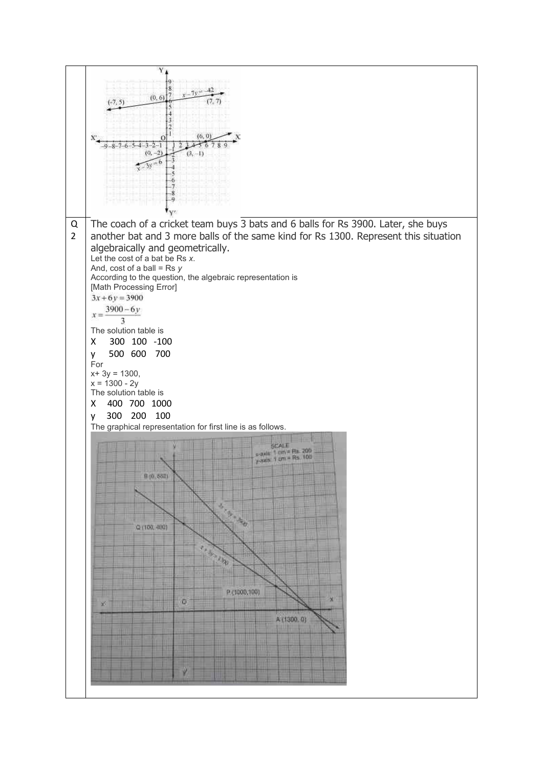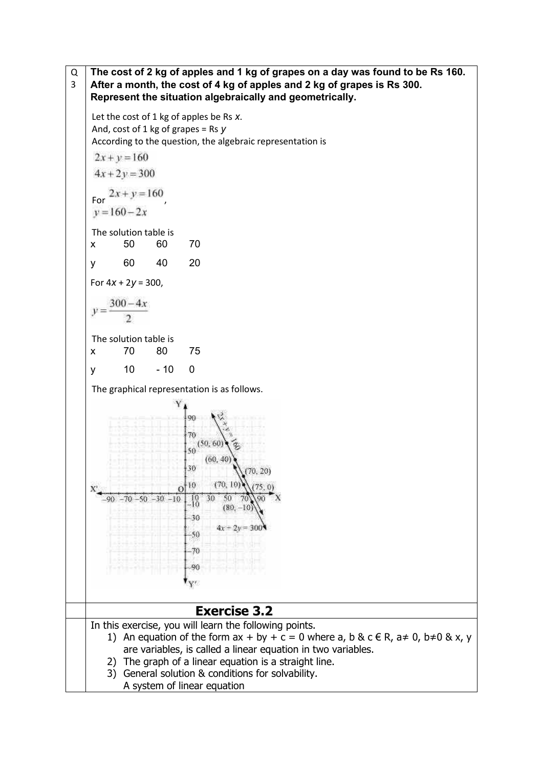Q **The cost of 2 kg of apples and 1 kg of grapes on a day was found to be Rs 160.**  3 **After a month, the cost of 4 kg of apples and 2 kg of grapes is Rs 300. Represent the situation algebraically and geometrically.**  Let the cost of 1 kg of apples be Rs *x*. And, cost of 1 kg of grapes = Rs *y* According to the question, the algebraic representation is  $2x + y = 160$  $4x + 2y = 300$ For  $\frac{2x+y-100}{y}$ , The solution table is x 50 60 70 y 60 40 20 For 4*x* + 2*y* = 300,  $300 - 4x$ The solution table is x 70 80 75 y 10 - 10 0 The graphical representation is as follows. 90 70  $(50, 60)$ 50 (60, 36  $(70, 10)$ 10  $\Omega$  $\frac{10}{10}$ 50  $Q()$  $-70 - 50 - 30 - 10$ 30  $(80)$  $\mathbb{R}$ 30  $4x + 2y = 300$  $-50$ 70 80 Y.  **Exercise 3.2**  In this exercise, you will learn the following points. 1) An equation of the form  $ax + by + c = 0$  where a, b & c  $\in$  R,  $a \ne 0$ ,  $b \ne 0$  & x, y are variables, is called a linear equation in two variables. 2) The graph of a linear equation is a straight line. 3) General solution & conditions for solvability. A system of linear equation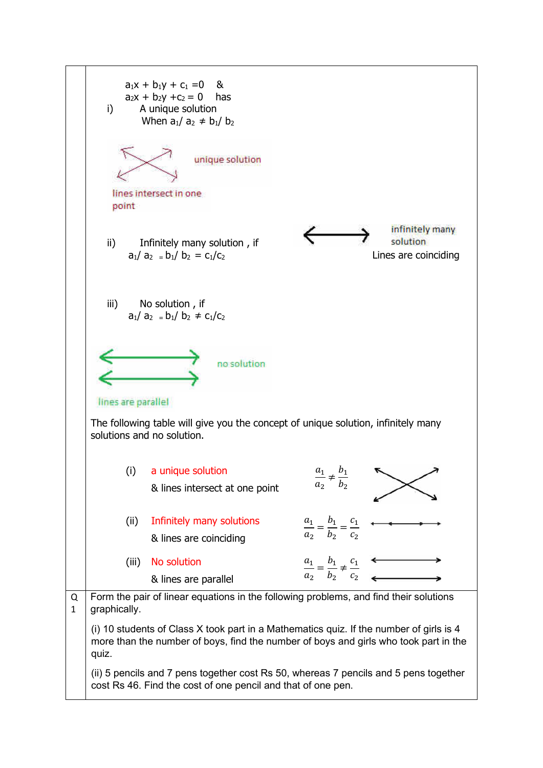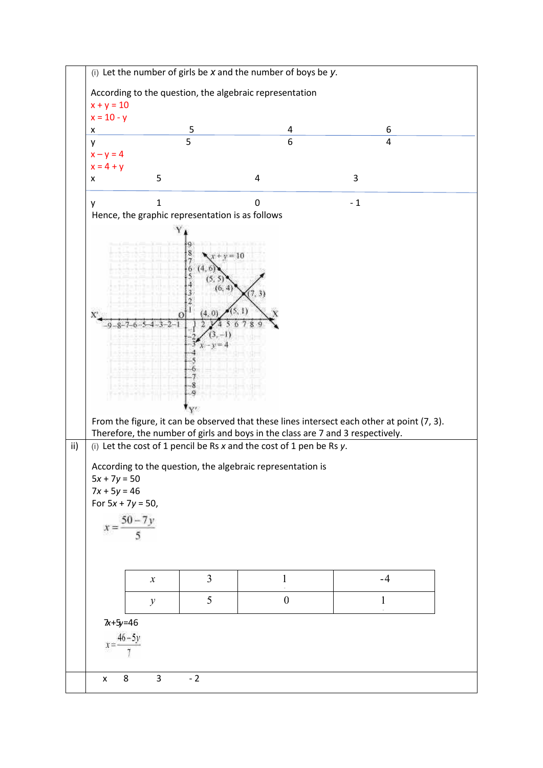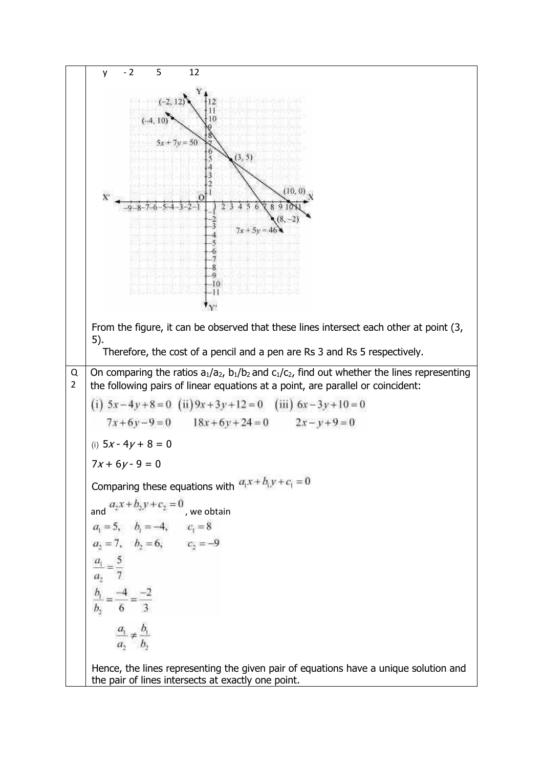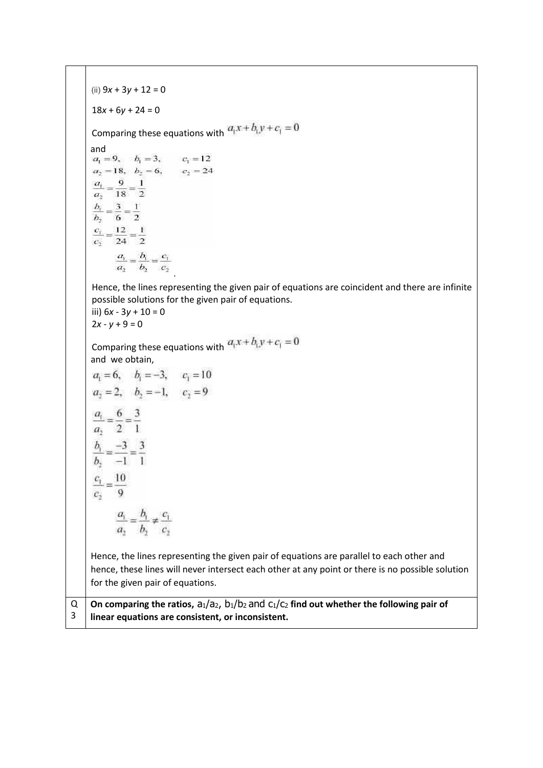(ii) 9*x* + 3*y* + 12 = 0  $18x + 6y + 24 = 0$ Comparing these equations with  $a_1x + b_1y + c_1 = 0$ and<br>  $a_1 = 9, b_1 = 3, c_1 = 12$  $a_2 = 18$ ,  $b_2 = 6$ ,  $c_2 = 24$  $rac{a_1}{a_2} = \frac{9}{18} = \frac{1}{2}$  $rac{b_1}{b_2} = \frac{3}{6} = \frac{1}{2}$  $\overline{b_2}$  $rac{c_1}{c_2} = \frac{12}{24} = \frac{1}{2}$  $\frac{a_1}{a_2} = \frac{b_1}{b_2} = \frac{c_1}{c_2}$ Hence, the lines representing the given pair of equations are coincident and there are infinite possible solutions for the given pair of equations. iii) 6*x* - 3*y* + 10 = 0  $2x - y + 9 = 0$ Comparing these equations with  $a_1x + b_1y + c_1 = 0$ and we obtain,  $a_i = 6$ ,  $b_i = -3$ ,  $c_i = 10$  $a_2 = 2$ ,  $b_2 = -1$ ,  $c_2 = 9$  $rac{a_1}{a_2} = \frac{6}{2} = \frac{3}{1}$  $rac{b_1}{b_2} = \frac{-3}{-1} = \frac{3}{1}$  $\frac{c_1}{c_2} = \frac{10}{9}$  $\frac{a_1}{a_2} = \frac{b_1}{b_2} \neq \frac{c_1}{c_2}$ Hence, the lines representing the given pair of equations are parallel to each other and hence, these lines will never intersect each other at any point or there is no possible solution for the given pair of equations. On comparing the ratios,  $a_1/a_2$ ,  $b_1/b_2$  and  $c_1/c_2$  find out whether the following pair of Q 3 **linear equations are consistent, or inconsistent.**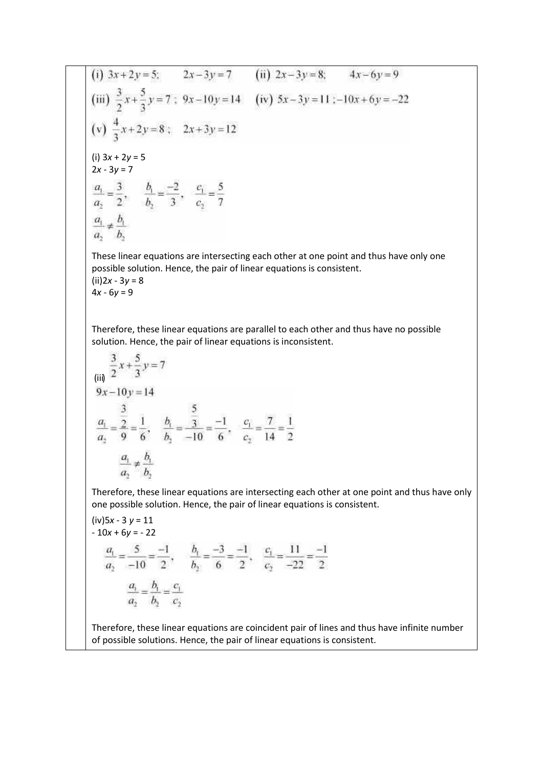(i) 
$$
3x + 2y = 5
$$
;  $2x - 3y = 7$  (ii)  $2x - 3y = 8$ ;  $4x - 6y = 9$   
\n(iii)  $\frac{3}{2}x + \frac{5}{3}y = 7$ ;  $9x - 10y = 14$  (iv)  $5x - 3y = 11$ ;  $-10x + 6y = -22$   
\n(v)  $\frac{4}{3}x + 2y = 8$ ;  $2x + 3y = 12$   
\n(i)  $3x + 2y = 5$   
\n $2x - 3y = 7$   
\n $\frac{a_1}{a_2} = \frac{3}{2}$ ,  $\frac{b_1}{b_2} = \frac{-2}{3}$ ,  $\frac{c_1}{c_2} = \frac{5}{7}$   
\n $\frac{a_1}{a_2} \neq \frac{b_1}{b_2}$ 

These linear equations are intersecting each other at one point and thus have only one possible solution. Hence, the pair of linear equations is consistent. (ii)2*x* - 3*y* = 8 4*x* - 6*y* = 9

Therefore, these linear equations are parallel to each other and thus have no possible solution. Hence, the pair of linear equations is inconsistent.

$$
\frac{3}{(ii)} \frac{x + \frac{5}{3}y = 7}{2x - 10y = 14}
$$
  
\n
$$
\frac{a_1}{a_2} = \frac{\frac{3}{2}}{9} = \frac{1}{6}, \quad \frac{b_1}{b_2} = \frac{\frac{5}{3}}{-10} = \frac{-1}{6}, \quad \frac{c_1}{c_2} = \frac{7}{14} = \frac{1}{2}
$$
  
\n
$$
\frac{a_1}{a_2} \neq \frac{b_1}{b_2}
$$

Therefore, these linear equations are intersecting each other at one point and thus have only one possible solution. Hence, the pair of linear equations is consistent.

(iv)5x - 3 y = 11  
\n- 10x + 6y = -22  
\n
$$
\frac{a_1}{a_2} = \frac{5}{-10} = \frac{-1}{2}, \quad \frac{b_1}{b_2} = \frac{-3}{6} = \frac{-1}{2}, \quad \frac{c_1}{c_2} = \frac{11}{-22} = \frac{-1}{2}
$$
\n
$$
\frac{a_1}{a_2} = \frac{b_1}{b_2} = \frac{c_1}{c_2}
$$

Therefore, these linear equations are coincident pair of lines and thus have infinite number of possible solutions. Hence, the pair of linear equations is consistent.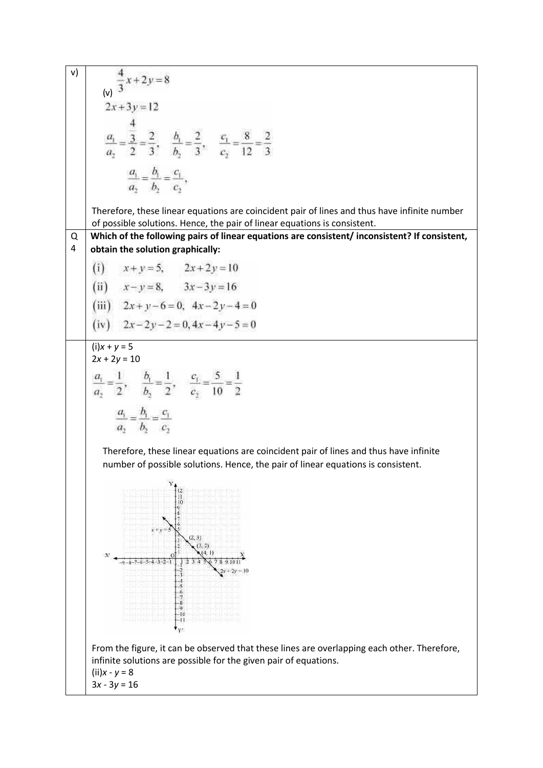v) 
$$
\frac{4}{3}x+2y=8
$$
  
\n2x+3y=12  
\n
$$
\frac{4}{a_2} = \frac{3}{2} = \frac{2}{3}, \quad \frac{b_1}{b_2} = \frac{2}{3}, \quad \frac{c_1}{c_2} = \frac{8}{12} = \frac{2}{3}
$$
  
\n
$$
\frac{a_1}{a_2} = \frac{b_1}{b_2} = \frac{c_1}{c_2},
$$
\nTherefore, these linear equations are coincident pair of lines and thus have infinite number of possible solutions. Hence, the pair of linear equations is consistent.  
\n**Q 1 0 1 0 2 0 2 0 3 2 4 3 3 4 4 4 5 2 6 3 3 3 4 4 5 6 1 0 1 0 2 0 3 3 3 4 5 6 1 0 3 3 4 5 6 1 6 1 1 2 3 3 3 4 3 5 4 6 5 6 7 7 8 8 9 1 1 1 2 3 3 3 4 5 2 4 5 6 6 6**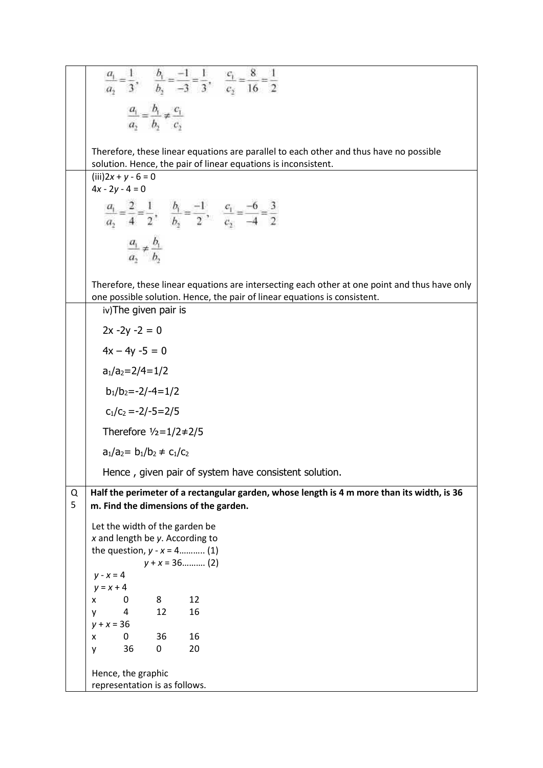|   | Therefore, these linear equations are parallel to each other and thus have no possible<br>solution. Hence, the pair of linear equations is inconsistent.                   |
|---|----------------------------------------------------------------------------------------------------------------------------------------------------------------------------|
|   | $(iii)2x + y - 6 = 0$<br>$4x - 2y - 4 = 0$                                                                                                                                 |
|   |                                                                                                                                                                            |
|   | $\frac{c_1}{c_2} = \frac{-6}{-4} = \frac{3}{2}$                                                                                                                            |
|   |                                                                                                                                                                            |
|   |                                                                                                                                                                            |
|   |                                                                                                                                                                            |
|   | Therefore, these linear equations are intersecting each other at one point and thus have only<br>one possible solution. Hence, the pair of linear equations is consistent. |
|   | iv) The given pair is                                                                                                                                                      |
|   | $2x - 2y - 2 = 0$                                                                                                                                                          |
|   | $4x - 4y - 5 = 0$                                                                                                                                                          |
|   | $a_1/a_2 = 2/4 = 1/2$                                                                                                                                                      |
|   | $b_1/b_2 = -2/-4 = 1/2$                                                                                                                                                    |
|   | $c_1/c_2 = -2/-5 = 2/5$                                                                                                                                                    |
|   | Therefore $1/2=1/2\neq 2/5$                                                                                                                                                |
|   | $a_1/a_2 = b_1/b_2 \neq c_1/c_2$                                                                                                                                           |
|   | Hence, given pair of system have consistent solution.                                                                                                                      |
| Q | Half the perimeter of a rectangular garden, whose length is 4 m more than its width, is 36                                                                                 |
| 5 | m. Find the dimensions of the garden.                                                                                                                                      |
|   | Let the width of the garden be                                                                                                                                             |
|   | $x$ and length be $y$ . According to<br>the question, $y - x = 4$ (1)                                                                                                      |
|   | $y + x = 36$ (2)                                                                                                                                                           |
|   | $y - x = 4$<br>$y = x + 4$                                                                                                                                                 |
|   | 12<br>8<br>0<br>x                                                                                                                                                          |
|   | 12<br>16<br>4<br>۷                                                                                                                                                         |
|   | $y + x = 36$<br>16<br>0<br>36<br>X                                                                                                                                         |
|   | 36<br>0<br>20<br>y                                                                                                                                                         |
|   | Hence, the graphic                                                                                                                                                         |
|   | representation is as follows.                                                                                                                                              |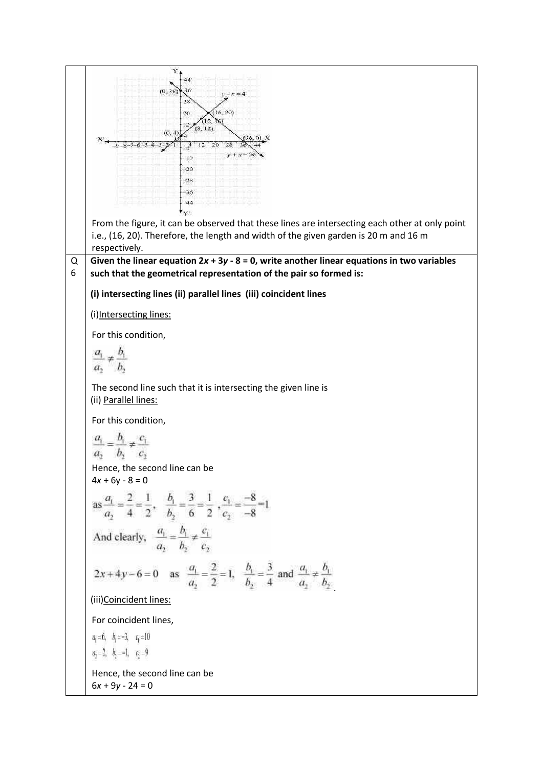